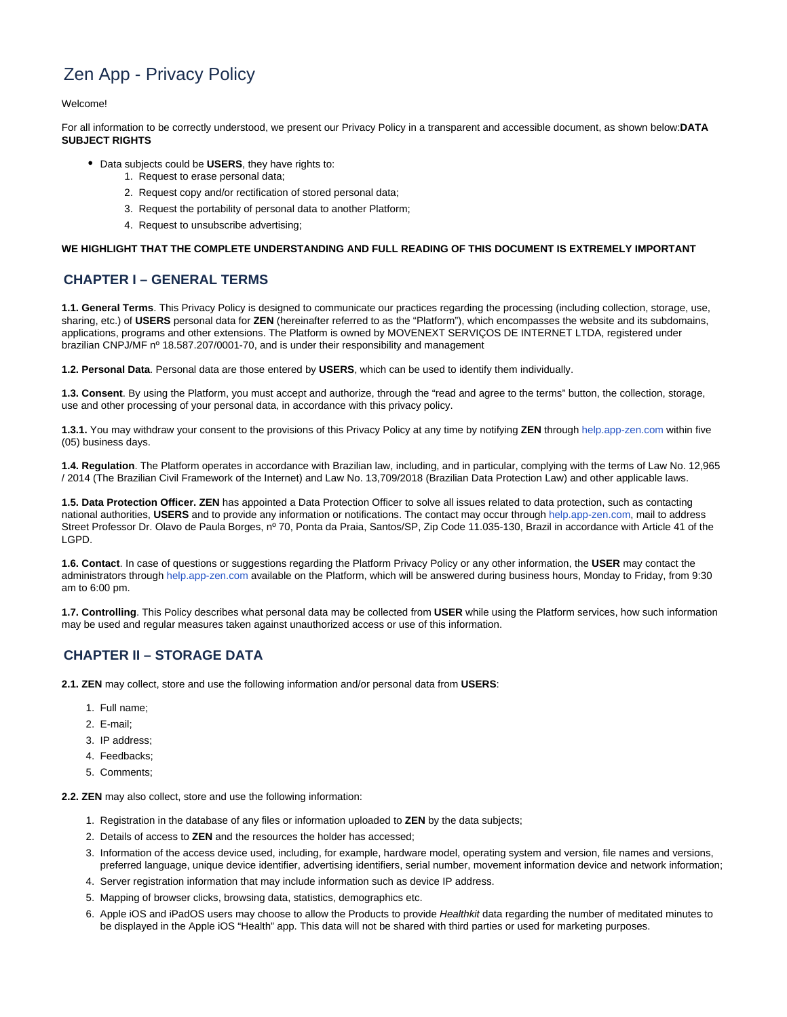# Zen App - Privacy Policy

Welcome!

For all information to be correctly understood, we present our Privacy Policy in a transparent and accessible document, as shown below:**DATA SUBJECT RIGHTS**

- Data subjects could be **USERS**, they have rights to:
	- 1. Request to erase personal data;
	- 2. Request copy and/or rectification of stored personal data;
	- 3. Request the portability of personal data to another Platform;
	- 4. Request to unsubscribe advertising;

#### **WE HIGHLIGHT THAT THE COMPLETE UNDERSTANDING AND FULL READING OF THIS DOCUMENT IS EXTREMELY IMPORTANT**

### **CHAPTER I – GENERAL TERMS**

**1.1. General Terms**. This Privacy Policy is designed to communicate our practices regarding the processing (including collection, storage, use, sharing, etc.) of **USERS** personal data for **ZEN** (hereinafter referred to as the "Platform"), which encompasses the website and its subdomains, applications, programs and other extensions. The Platform is owned by MOVENEXT SERVIÇOS DE INTERNET LTDA, registered under brazilian CNPJ/MF nº 18.587.207/0001-70, and is under their responsibility and management

**1.2. Personal Data**. Personal data are those entered by **USERS**, which can be used to identify them individually.

**1.3. Consent**. By using the Platform, you must accept and authorize, through the "read and agree to the terms" button, the collection, storage, use and other processing of your personal data, in accordance with this privacy policy.

**1.3.1.** You may withdraw your consent to the provisions of this Privacy Policy at any time by notifying **ZEN** through [help.app-zen.com](http://help.app-zen.com/) within five (05) business days.

**1.4. Regulation**. The Platform operates in accordance with Brazilian law, including, and in particular, complying with the terms of Law No. 12,965 / 2014 (The Brazilian Civil Framework of the Internet) and Law No. 13,709/2018 (Brazilian Data Protection Law) and other applicable laws.

**1.5. Data Protection Officer. ZEN** has appointed a Data Protection Officer to solve all issues related to data protection, such as contacting national authorities, **USERS** and to provide any information or notifications. The contact may occur through [help.app-zen.com,](http://help.app-zen.com/) mail to address Street Professor Dr. Olavo de Paula Borges, nº 70, Ponta da Praia, Santos/SP, Zip Code 11.035-130, Brazil in accordance with Article 41 of the LGPD.

**1.6. Contact**. In case of questions or suggestions regarding the Platform Privacy Policy or any other information, the **USER** may contact the administrators through [help.app-zen.com](http://help.app-zen.com/) available on the Platform, which will be answered during business hours, Monday to Friday, from 9:30 am to 6:00 pm.

**1.7. Controlling**. This Policy describes what personal data may be collected from **USER** while using the Platform services, how such information may be used and regular measures taken against unauthorized access or use of this information.

#### **CHAPTER II – STORAGE DATA**

**2.1. ZEN** may collect, store and use the following information and/or personal data from **USERS**:

- 1. Full name;
- 2. E-mail;
- 3. IP address;
- 4. Feedbacks;
- 5. Comments;

**2.2. ZEN** may also collect, store and use the following information:

- 1. Registration in the database of any files or information uploaded to **ZEN** by the data subjects;
- 2. Details of access to **ZEN** and the resources the holder has accessed;
- 3. Information of the access device used, including, for example, hardware model, operating system and version, file names and versions, preferred language, unique device identifier, advertising identifiers, serial number, movement information device and network information;
- 4. Server registration information that may include information such as device IP address.
- 5. Mapping of browser clicks, browsing data, statistics, demographics etc.
- 6. Apple iOS and iPadOS users may choose to allow the Products to provide Healthkit data regarding the number of meditated minutes to be displayed in the Apple iOS "Health" app. This data will not be shared with third parties or used for marketing purposes.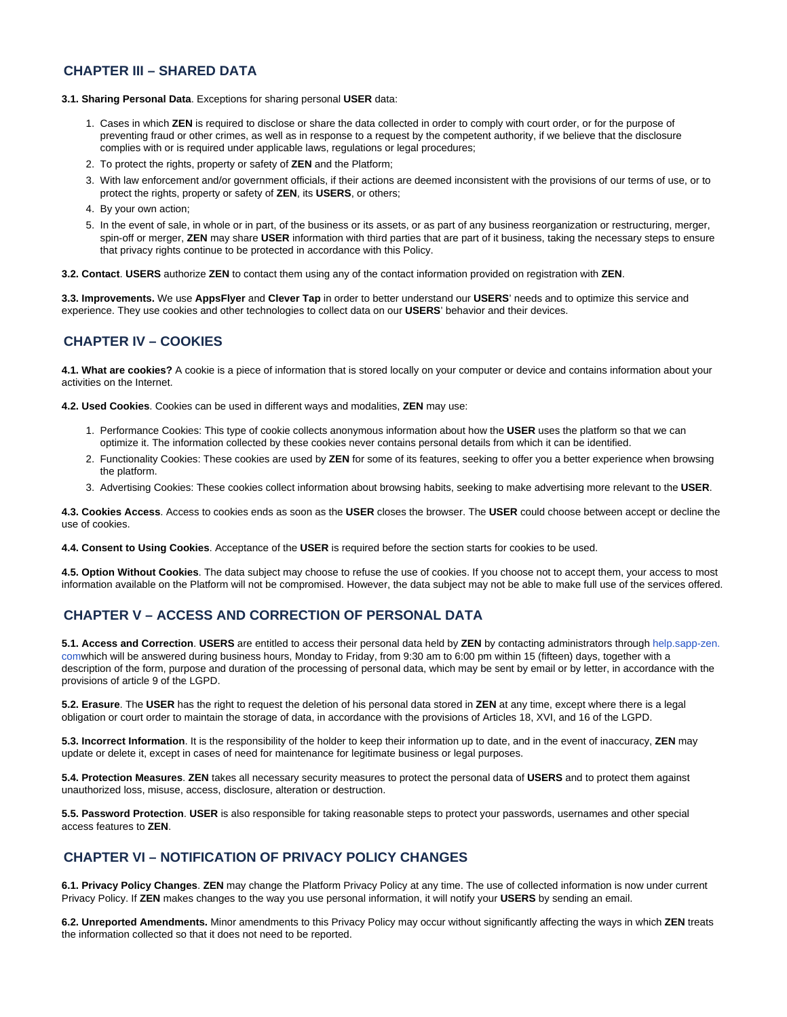# **CHAPTER III – SHARED DATA**

#### **3.1. Sharing Personal Data**. Exceptions for sharing personal **USER** data:

- 1. Cases in which **ZEN** is required to disclose or share the data collected in order to comply with court order, or for the purpose of preventing fraud or other crimes, as well as in response to a request by the competent authority, if we believe that the disclosure complies with or is required under applicable laws, regulations or legal procedures;
- 2. To protect the rights, property or safety of **ZEN** and the Platform;
- 3. With law enforcement and/or government officials, if their actions are deemed inconsistent with the provisions of our terms of use, or to protect the rights, property or safety of **ZEN**, its **USERS**, or others;
- 4. By your own action;
- 5. In the event of sale, in whole or in part, of the business or its assets, or as part of any business reorganization or restructuring, merger, spin-off or merger, **ZEN** may share **USER** information with third parties that are part of it business, taking the necessary steps to ensure that privacy rights continue to be protected in accordance with this Policy.

**3.2. Contact**. **USERS** authorize **ZEN** to contact them using any of the contact information provided on registration with **ZEN**.

**3.3. Improvements.** We use **AppsFlyer** and **Clever Tap** in order to better understand our **USERS**' needs and to optimize this service and experience. They use cookies and other technologies to collect data on our **USERS**' behavior and their devices.

# **CHAPTER IV – COOKIES**

**4.1. What are cookies?** A cookie is a piece of information that is stored locally on your computer or device and contains information about your activities on the Internet.

**4.2. Used Cookies**. Cookies can be used in different ways and modalities, **ZEN** may use:

- 1. Performance Cookies: This type of cookie collects anonymous information about how the **USER** uses the platform so that we can optimize it. The information collected by these cookies never contains personal details from which it can be identified.
- 2. Functionality Cookies: These cookies are used by **ZEN** for some of its features, seeking to offer you a better experience when browsing the platform.
- 3. Advertising Cookies: These cookies collect information about browsing habits, seeking to make advertising more relevant to the **USER**.

**4.3. Cookies Access**. Access to cookies ends as soon as the **USER** closes the browser. The **USER** could choose between accept or decline the use of cookies.

#### **4.4. Consent to Using Cookies**. Acceptance of the **USER** is required before the section starts for cookies to be used.

**4.5. Option Without Cookies**. The data subject may choose to refuse the use of cookies. If you choose not to accept them, your access to most information available on the Platform will not be compromised. However, the data subject may not be able to make full use of the services offered.

# **CHAPTER V – ACCESS AND CORRECTION OF PERSONAL DATA**

**5.1. Access and Correction**. **USERS** are entitled to access their personal data held by **ZEN** by contacting administrators through [help.sapp-zen.](http://help.app-zen.com/) [com](http://help.app-zen.com/)which will be answered during business hours, Monday to Friday, from 9:30 am to 6:00 pm within 15 (fifteen) days, together with a description of the form, purpose and duration of the processing of personal data, which may be sent by email or by letter, in accordance with the provisions of article 9 of the LGPD.

**5.2. Erasure**. The **USER** has the right to request the deletion of his personal data stored in **ZEN** at any time, except where there is a legal obligation or court order to maintain the storage of data, in accordance with the provisions of Articles 18, XVI, and 16 of the LGPD.

**5.3. Incorrect Information**. It is the responsibility of the holder to keep their information up to date, and in the event of inaccuracy, **ZEN** may update or delete it, except in cases of need for maintenance for legitimate business or legal purposes.

**5.4. Protection Measures**. **ZEN** takes all necessary security measures to protect the personal data of **USERS** and to protect them against unauthorized loss, misuse, access, disclosure, alteration or destruction.

**5.5. Password Protection**. **USER** is also responsible for taking reasonable steps to protect your passwords, usernames and other special access features to **ZEN**.

# **CHAPTER VI – NOTIFICATION OF PRIVACY POLICY CHANGES**

**6.1. Privacy Policy Changes**. **ZEN** may change the Platform Privacy Policy at any time. The use of collected information is now under current Privacy Policy. If **ZEN** makes changes to the way you use personal information, it will notify your **USERS** by sending an email.

**6.2. Unreported Amendments.** Minor amendments to this Privacy Policy may occur without significantly affecting the ways in which **ZEN** treats the information collected so that it does not need to be reported.